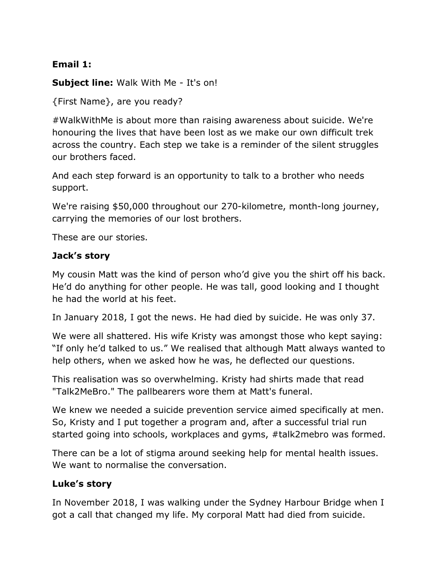# **Email 1:**

**Subject line:** Walk With Me - It's on!

{First Name}, are you ready?

#WalkWithMe is about more than raising awareness about suicide. We're honouring the lives that have been lost as we make our own difficult trek across the country. Each step we take is a reminder of the silent struggles our brothers faced.

And each step forward is an opportunity to talk to a brother who needs support.

We're raising \$50,000 throughout our 270-kilometre, month-long journey, carrying the memories of our lost brothers.

These are our stories.

# **Jack's story**

My cousin Matt was the kind of person who'd give you the shirt off his back. He'd do anything for other people. He was tall, good looking and I thought he had the world at his feet.

In January 2018, I got the news. He had died by suicide. He was only 37.

We were all shattered. His wife Kristy was amongst those who kept saying: "If only he'd talked to us." We realised that although Matt always wanted to help others, when we asked how he was, he deflected our questions.

This realisation was so overwhelming. Kristy had shirts made that read "Talk2MeBro." The pallbearers wore them at Matt's funeral.

We knew we needed a suicide prevention service aimed specifically at men. So, Kristy and I put together a program and, after a successful trial run started going into schools, workplaces and gyms, #talk2mebro was formed.

There can be a lot of stigma around seeking help for mental health issues. We want to normalise the conversation.

# **Luke's story**

In November 2018, I was walking under the Sydney Harbour Bridge when I got a call that changed my life. My corporal Matt had died from suicide.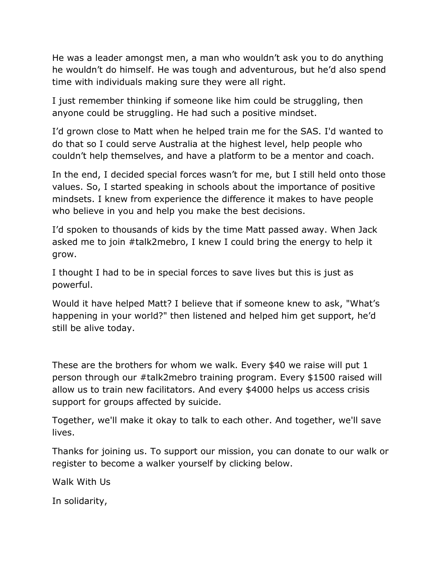He was a leader amongst men, a man who wouldn't ask you to do anything he wouldn't do himself. He was tough and adventurous, but he'd also spend time with individuals making sure they were all right.

I just remember thinking if someone like him could be struggling, then anyone could be struggling. He had such a positive mindset.

I'd grown close to Matt when he helped train me for the SAS. I'd wanted to do that so I could serve Australia at the highest level, help people who couldn't help themselves, and have a platform to be a mentor and coach.

In the end, I decided special forces wasn't for me, but I still held onto those values. So, I started speaking in schools about the importance of positive mindsets. I knew from experience the difference it makes to have people who believe in you and help you make the best decisions.

I'd spoken to thousands of kids by the time Matt passed away. When Jack asked me to join #talk2mebro, I knew I could bring the energy to help it grow.

I thought I had to be in special forces to save lives but this is just as powerful.

Would it have helped Matt? I believe that if someone knew to ask, "What's happening in your world?" then listened and helped him get support, he'd still be alive today.

These are the brothers for whom we walk. Every \$40 we raise will put 1 person through our #talk2mebro training program. Every \$1500 raised will allow us to train new facilitators. And every \$4000 helps us access crisis support for groups affected by suicide.

Together, we'll make it okay to talk to each other. And together, we'll save lives.

Thanks for joining us. To support our mission, you can donate to our walk or register to become a walker yourself by clicking below.

Walk With Us

In solidarity,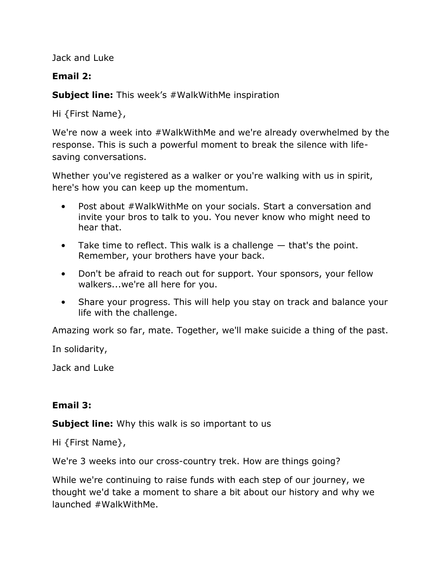Jack and Luke

# **Email 2:**

**Subject line:** This week's #WalkWithMe inspiration

Hi {First Name},

We're now a week into #WalkWithMe and we're already overwhelmed by the response. This is such a powerful moment to break the silence with lifesaving conversations.

Whether you've registered as a walker or you're walking with us in spirit, here's how you can keep up the momentum.

- Post about #WalkWithMe on your socials. Start a conversation and invite your bros to talk to you. You never know who might need to hear that.
- Take time to reflect. This walk is a challenge  $-$  that's the point. Remember, your brothers have your back.
- Don't be afraid to reach out for support. Your sponsors, your fellow walkers...we're all here for you.
- Share your progress. This will help you stay on track and balance your life with the challenge.

Amazing work so far, mate. Together, we'll make suicide a thing of the past.

In solidarity,

Jack and Luke

# **Email 3:**

**Subject line:** Why this walk is so important to us

Hi {First Name},

We're 3 weeks into our cross-country trek. How are things going?

While we're continuing to raise funds with each step of our journey, we thought we'd take a moment to share a bit about our history and why we launched #WalkWithMe.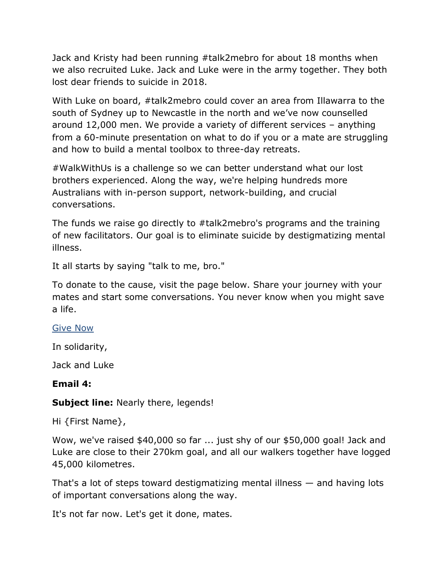Jack and Kristy had been running #talk2mebro for about 18 months when we also recruited Luke. Jack and Luke were in the army together. They both lost dear friends to suicide in 2018.

With Luke on board, #talk2mebro could cover an area from Illawarra to the south of Sydney up to Newcastle in the north and we've now counselled around 12,000 men. We provide a variety of different services – anything from a 60-minute presentation on what to do if you or a mate are struggling and how to build a mental toolbox to three-day retreats.

#WalkWithUs is a challenge so we can better understand what our lost brothers experienced. Along the way, we're helping hundreds more Australians with in-person support, network-building, and crucial conversations.

The funds we raise go directly to #talk2mebro's programs and the training of new facilitators. Our goal is to eliminate suicide by destigmatizing mental illness.

It all starts by saying "talk to me, bro."

To donate to the cause, visit the page below. Share your journey with your mates and start some conversations. You never know when you might save a life.

#### [Give Now](https://talk2mebro.grassrootz.com/walkwithme)

In solidarity,

Jack and Luke

#### **Email 4:**

#### **Subject line:** Nearly there, legends!

Hi {First Name},

Wow, we've raised \$40,000 so far ... just shy of our \$50,000 goal! Jack and Luke are close to their 270km goal, and all our walkers together have logged 45,000 kilometres.

That's a lot of steps toward destigmatizing mental illness — and having lots of important conversations along the way.

It's not far now. Let's get it done, mates.